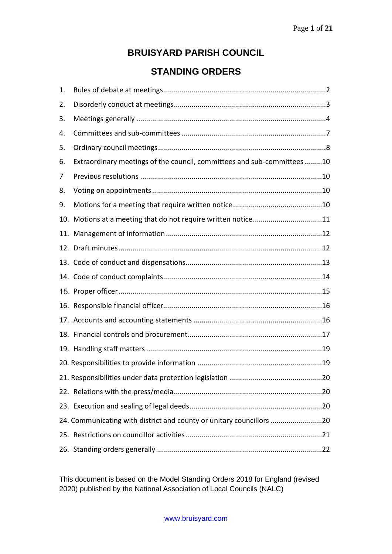# **BRUISYARD PARISH COUNCIL**

# **STANDING ORDERS**

| 1. |                                                                        |  |
|----|------------------------------------------------------------------------|--|
| 2. |                                                                        |  |
| 3. |                                                                        |  |
| 4. |                                                                        |  |
| 5. |                                                                        |  |
| 6. | Extraordinary meetings of the council, committees and sub-committees10 |  |
| 7  |                                                                        |  |
| 8. |                                                                        |  |
| 9. |                                                                        |  |
|    | 10. Motions at a meeting that do not require written notice11          |  |
|    |                                                                        |  |
|    |                                                                        |  |
|    |                                                                        |  |
|    |                                                                        |  |
|    |                                                                        |  |
|    |                                                                        |  |
|    |                                                                        |  |
|    |                                                                        |  |
|    |                                                                        |  |
|    |                                                                        |  |
|    |                                                                        |  |
|    |                                                                        |  |
|    |                                                                        |  |
|    | 24. Communicating with district and county or unitary councillors 20   |  |
|    |                                                                        |  |
|    |                                                                        |  |

This document is based on the Model Standing Orders 2018 for England (revised 2020) published by the National Association of Local Councils (NALC)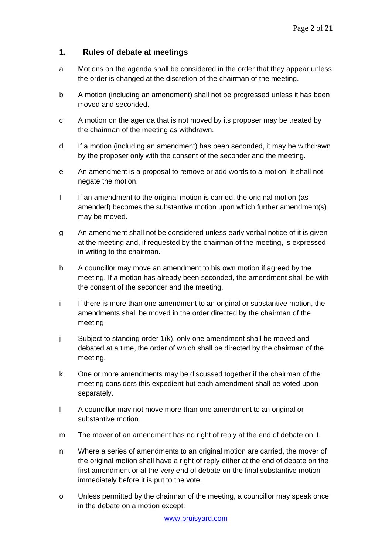# **1. Rules of debate at meetings**

- a Motions on the agenda shall be considered in the order that they appear unless the order is changed at the discretion of the chairman of the meeting.
- b A motion (including an amendment) shall not be progressed unless it has been moved and seconded.
- c A motion on the agenda that is not moved by its proposer may be treated by the chairman of the meeting as withdrawn.
- d If a motion (including an amendment) has been seconded, it may be withdrawn by the proposer only with the consent of the seconder and the meeting.
- e An amendment is a proposal to remove or add words to a motion. It shall not negate the motion.
- f If an amendment to the original motion is carried, the original motion (as amended) becomes the substantive motion upon which further amendment(s) may be moved.
- g An amendment shall not be considered unless early verbal notice of it is given at the meeting and, if requested by the chairman of the meeting, is expressed in writing to the chairman.
- h A councillor may move an amendment to his own motion if agreed by the meeting. If a motion has already been seconded, the amendment shall be with the consent of the seconder and the meeting.
- i If there is more than one amendment to an original or substantive motion, the amendments shall be moved in the order directed by the chairman of the meeting.
- j Subject to standing order 1(k), only one amendment shall be moved and debated at a time, the order of which shall be directed by the chairman of the meeting.
- k One or more amendments may be discussed together if the chairman of the meeting considers this expedient but each amendment shall be voted upon separately.
- l A councillor may not move more than one amendment to an original or substantive motion.
- m The mover of an amendment has no right of reply at the end of debate on it.
- n Where a series of amendments to an original motion are carried, the mover of the original motion shall have a right of reply either at the end of debate on the first amendment or at the very end of debate on the final substantive motion immediately before it is put to the vote.
- o Unless permitted by the chairman of the meeting, a councillor may speak once in the debate on a motion except: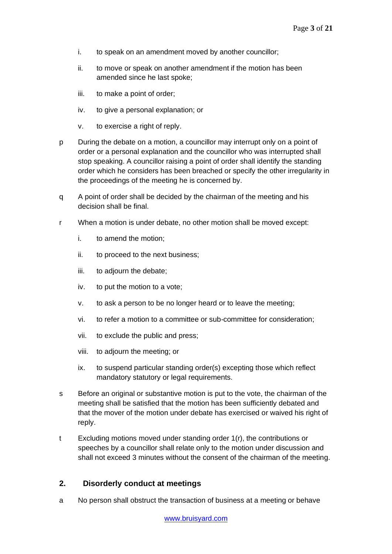- i. to speak on an amendment moved by another councillor;
- ii. to move or speak on another amendment if the motion has been amended since he last spoke;
- iii. to make a point of order;
- iv. to give a personal explanation; or
- v. to exercise a right of reply.
- p During the debate on a motion, a councillor may interrupt only on a point of order or a personal explanation and the councillor who was interrupted shall stop speaking. A councillor raising a point of order shall identify the standing order which he considers has been breached or specify the other irregularity in the proceedings of the meeting he is concerned by.
- q A point of order shall be decided by the chairman of the meeting and his decision shall be final.
- r When a motion is under debate, no other motion shall be moved except:
	- i. to amend the motion;
	- ii. to proceed to the next business;
	- iii. to adjourn the debate;
	- iv. to put the motion to a vote;
	- v. to ask a person to be no longer heard or to leave the meeting;
	- vi. to refer a motion to a committee or sub-committee for consideration;
	- vii. to exclude the public and press;
	- viii. to adjourn the meeting; or
	- ix. to suspend particular standing order(s) excepting those which reflect mandatory statutory or legal requirements.
- s Before an original or substantive motion is put to the vote, the chairman of the meeting shall be satisfied that the motion has been sufficiently debated and that the mover of the motion under debate has exercised or waived his right of reply.
- t Excluding motions moved under standing order 1(r), the contributions or speeches by a councillor shall relate only to the motion under discussion and shall not exceed 3 minutes without the consent of the chairman of the meeting.

# **2. Disorderly conduct at meetings**

a No person shall obstruct the transaction of business at a meeting or behave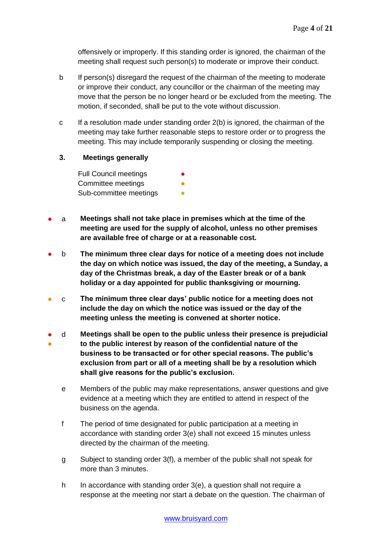offensively or improperly. If this standing order is ignored, the chairman of the meeting shall request such person(s) to moderate or improve their conduct.

- b If person(s) disregard the request of the chairman of the meeting to moderate or improve their conduct, any councillor or the chairman of the meeting may move that the person be no longer heard or be excluded from the meeting. The motion, if seconded, shall be put to the vote without discussion.
- c If a resolution made under standing order 2(b) is ignored, the chairman of the meeting may take further reasonable steps to restore order or to progress the meeting. This may include temporarily suspending or closing the meeting.
- **3. Meetings generally**

Full Council meetings Committee meetings Sub-committee meetings

- a **Meetings shall not take place in premises which at the time of the meeting are used for the supply of alcohol, unless no other premises are available free of charge or at a reasonable cost.**
- b **The minimum three clear days for notice of a meeting does not include the day on which notice was issued, the day of the meeting, a Sunday, a day of the Christmas break, a day of the Easter break or of a bank holiday or a day appointed for public thanksgiving or mourning.**
- c **The minimum three clear days' public notice for a meeting does not include the day on which the notice was issued or the day of the meeting unless the meeting is convened at shorter notice.**
- ● d **Meetings shall be open to the public unless their presence is prejudicial to the public interest by reason of the confidential nature of the business to be transacted or for other special reasons. The public's exclusion from part or all of a meeting shall be by a resolution which shall give reasons for the public's exclusion.**
	- e Members of the public may make representations, answer questions and give evidence at a meeting which they are entitled to attend in respect of the business on the agenda.
	- f The period of time designated for public participation at a meeting in accordance with standing order 3(e) shall not exceed 15 minutes unless directed by the chairman of the meeting.
	- g Subject to standing order 3(f), a member of the public shall not speak for more than 3 minutes.
	- h In accordance with standing order  $3(e)$ , a question shall not require a response at the meeting nor start a debate on the question. The chairman of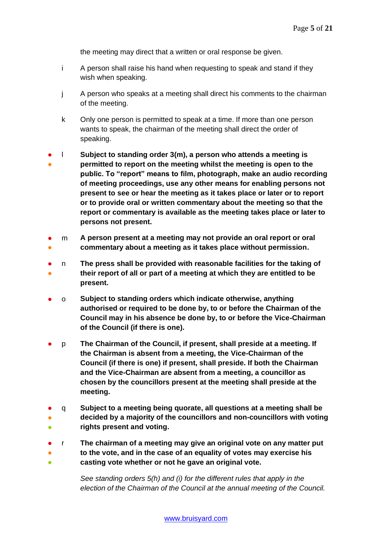the meeting may direct that a written or oral response be given.

- i A person shall raise his hand when requesting to speak and stand if they wish when speaking.
- j A person who speaks at a meeting shall direct his comments to the chairman of the meeting.
- k Only one person is permitted to speak at a time. If more than one person wants to speak, the chairman of the meeting shall direct the order of speaking.
- ● l **Subject to standing order 3(m), a person who attends a meeting is permitted to report on the meeting whilst the meeting is open to the public. To "report" means to film, photograph, make an audio recording of meeting proceedings, use any other means for enabling persons not present to see or hear the meeting as it takes place or later or to report or to provide oral or written commentary about the meeting so that the report or commentary is available as the meeting takes place or later to persons not present.**
- ● m **A person present at a meeting may not provide an oral report or oral commentary about a meeting as it takes place without permission.**
- ● n **The press shall be provided with reasonable facilities for the taking of their report of all or part of a meeting at which they are entitled to be present.**
- o **Subject to standing orders which indicate otherwise, anything authorised or required to be done by, to or before the Chairman of the Council may in his absence be done by, to or before the Vice-Chairman of the Council (if there is one).**
- p **The Chairman of the Council, if present, shall preside at a meeting. If the Chairman is absent from a meeting, the Vice-Chairman of the Council (if there is one) if present, shall preside. If both the Chairman and the Vice-Chairman are absent from a meeting, a councillor as chosen by the councillors present at the meeting shall preside at the meeting.**
- ● ● q **Subject to a meeting being quorate, all questions at a meeting shall be decided by a majority of the councillors and non-councillors with voting rights present and voting.**
- r **The chairman of a meeting may give an original vote on any matter put**
- ● **to the vote, and in the case of an equality of votes may exercise his casting vote whether or not he gave an original vote.**

*See standing orders 5(h) and (i) for the different rules that apply in the election of the Chairman of the Council at the annual meeting of the Council.*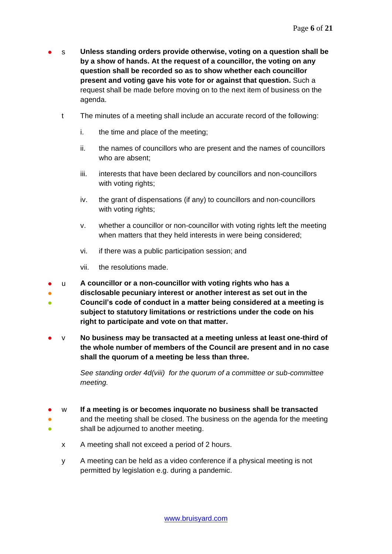- s **Unless standing orders provide otherwise, voting on a question shall be by a show of hands. At the request of a councillor, the voting on any question shall be recorded so as to show whether each councillor present and voting gave his vote for or against that question.** Such a request shall be made before moving on to the next item of business on the agenda.
	- t The minutes of a meeting shall include an accurate record of the following:
		- i. the time and place of the meeting;
		- ii. the names of councillors who are present and the names of councillors who are absent;
		- iii. interests that have been declared by councillors and non-councillors with voting rights;
		- iv. the grant of dispensations (if any) to councillors and non-councillors with voting rights;
		- v. whether a councillor or non-councillor with voting rights left the meeting when matters that they held interests in were being considered;
		- vi. if there was a public participation session; and
		- vii. the resolutions made.
- u **A councillor or a non-councillor with voting rights who has a**
- **disclosable pecuniary interest or another interest as set out in the**
- **Council's code of conduct in a matter being considered at a meeting is subject to statutory limitations or restrictions under the code on his right to participate and vote on that matter.**
- v **No business may be transacted at a meeting unless at least one-third of the whole number of members of the Council are present and in no case shall the quorum of a meeting be less than three.**

*See standing order 4d(viii) for the quorum of a committee or sub-committee meeting.* 

- w **If a meeting is or becomes inquorate no business shall be transacted**
- ● and the meeting shall be closed. The business on the agenda for the meeting shall be adjourned to another meeting.
	- x A meeting shall not exceed a period of 2 hours.
	- y A meeting can be held as a video conference if a physical meeting is not permitted by legislation e.g. during a pandemic.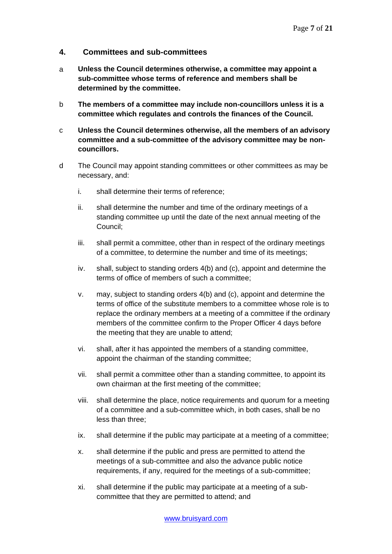## **4. Committees and sub-committees**

- a **Unless the Council determines otherwise, a committee may appoint a sub-committee whose terms of reference and members shall be determined by the committee.**
- b **The members of a committee may include non-councillors unless it is a committee which regulates and controls the finances of the Council.**
- c **Unless the Council determines otherwise, all the members of an advisory committee and a sub-committee of the advisory committee may be noncouncillors.**
- d The Council may appoint standing committees or other committees as may be necessary, and:
	- i. shall determine their terms of reference;
	- ii. shall determine the number and time of the ordinary meetings of a standing committee up until the date of the next annual meeting of the Council;
	- iii. shall permit a committee, other than in respect of the ordinary meetings of a committee, to determine the number and time of its meetings;
	- iv. shall, subject to standing orders 4(b) and (c), appoint and determine the terms of office of members of such a committee;
	- v. may, subject to standing orders 4(b) and (c), appoint and determine the terms of office of the substitute members to a committee whose role is to replace the ordinary members at a meeting of a committee if the ordinary members of the committee confirm to the Proper Officer 4 days before the meeting that they are unable to attend;
	- vi. shall, after it has appointed the members of a standing committee, appoint the chairman of the standing committee;
	- vii. shall permit a committee other than a standing committee, to appoint its own chairman at the first meeting of the committee;
	- viii. shall determine the place, notice requirements and quorum for a meeting of a committee and a sub-committee which, in both cases, shall be no less than three;
	- ix. shall determine if the public may participate at a meeting of a committee;
	- x. shall determine if the public and press are permitted to attend the meetings of a sub-committee and also the advance public notice requirements, if any, required for the meetings of a sub-committee;
	- xi. shall determine if the public may participate at a meeting of a subcommittee that they are permitted to attend; and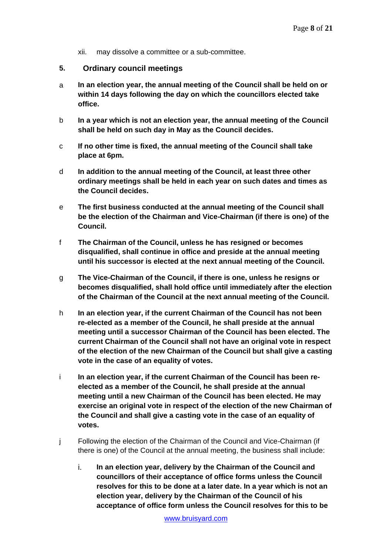- xii. may dissolve a committee or a sub-committee.
- **5. Ordinary council meetings**
- a **In an election year, the annual meeting of the Council shall be held on or within 14 days following the day on which the councillors elected take office.**
- b **In a year which is not an election year, the annual meeting of the Council shall be held on such day in May as the Council decides.**
- c **If no other time is fixed, the annual meeting of the Council shall take place at 6pm.**
- d **In addition to the annual meeting of the Council, at least three other ordinary meetings shall be held in each year on such dates and times as the Council decides.**
- e **The first business conducted at the annual meeting of the Council shall be the election of the Chairman and Vice-Chairman (if there is one) of the Council.**
- f **The Chairman of the Council, unless he has resigned or becomes disqualified, shall continue in office and preside at the annual meeting until his successor is elected at the next annual meeting of the Council.**
- g **The Vice-Chairman of the Council, if there is one, unless he resigns or becomes disqualified, shall hold office until immediately after the election of the Chairman of the Council at the next annual meeting of the Council.**
- h **In an election year, if the current Chairman of the Council has not been re-elected as a member of the Council, he shall preside at the annual meeting until a successor Chairman of the Council has been elected. The current Chairman of the Council shall not have an original vote in respect of the election of the new Chairman of the Council but shall give a casting vote in the case of an equality of votes.**
- i **In an election year, if the current Chairman of the Council has been reelected as a member of the Council, he shall preside at the annual meeting until a new Chairman of the Council has been elected. He may exercise an original vote in respect of the election of the new Chairman of the Council and shall give a casting vote in the case of an equality of votes.**
- j Following the election of the Chairman of the Council and Vice-Chairman (if there is one) of the Council at the annual meeting, the business shall include:
	- i. **In an election year, delivery by the Chairman of the Council and councillors of their acceptance of office forms unless the Council resolves for this to be done at a later date. In a year which is not an election year, delivery by the Chairman of the Council of his acceptance of office form unless the Council resolves for this to be**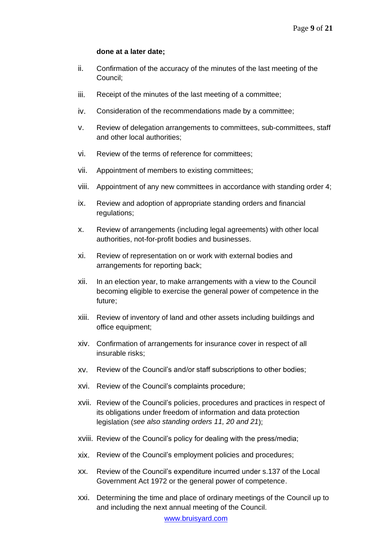#### **done at a later date;**

- ii. Confirmation of the accuracy of the minutes of the last meeting of the Council;
- iii. Receipt of the minutes of the last meeting of a committee;
- iv. Consideration of the recommendations made by a committee;
- v. Review of delegation arrangements to committees, sub-committees, staff and other local authorities;
- vi. Review of the terms of reference for committees;
- vii. Appointment of members to existing committees;
- viii. Appointment of any new committees in accordance with standing order 4;
- ix. Review and adoption of appropriate standing orders and financial regulations;
- x. Review of arrangements (including legal agreements) with other local authorities, not-for-profit bodies and businesses.
- xi. Review of representation on or work with external bodies and arrangements for reporting back;
- xii. In an election year, to make arrangements with a view to the Council becoming eligible to exercise the general power of competence in the future;
- xiii. Review of inventory of land and other assets including buildings and office equipment;
- xiv. Confirmation of arrangements for insurance cover in respect of all insurable risks;
- xv. Review of the Council's and/or staff subscriptions to other bodies;
- xvi. Review of the Council's complaints procedure;
- xvii. Review of the Council's policies, procedures and practices in respect of its obligations under freedom of information and data protection legislation (*see also standing orders 11, 20 and 21*);
- xviii. Review of the Council's policy for dealing with the press/media;
- xix. Review of the Council's employment policies and procedures;
- xx. Review of the Council's expenditure incurred under s.137 of the Local Government Act 1972 or the general power of competence.
- xxi. Determining the time and place of ordinary meetings of the Council up to and including the next annual meeting of the Council.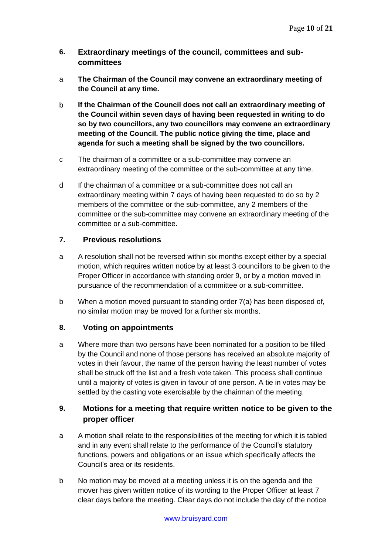- **6. Extraordinary meetings of the council, committees and subcommittees**
- a **The Chairman of the Council may convene an extraordinary meeting of the Council at any time.**
- b **If the Chairman of the Council does not call an extraordinary meeting of the Council within seven days of having been requested in writing to do so by two councillors, any two councillors may convene an extraordinary meeting of the Council. The public notice giving the time, place and agenda for such a meeting shall be signed by the two councillors.**
- c The chairman of a committee or a sub-committee may convene an extraordinary meeting of the committee or the sub-committee at any time.
- d If the chairman of a committee or a sub-committee does not call an extraordinary meeting within 7 days of having been requested to do so by 2 members of the committee or the sub-committee, any 2 members of the committee or the sub-committee may convene an extraordinary meeting of the committee or a sub-committee.

# **7. Previous resolutions**

- a A resolution shall not be reversed within six months except either by a special motion, which requires written notice by at least 3 councillors to be given to the Proper Officer in accordance with standing order 9, or by a motion moved in pursuance of the recommendation of a committee or a sub-committee.
- b When a motion moved pursuant to standing order 7(a) has been disposed of, no similar motion may be moved for a further six months.

# **8. Voting on appointments**

a Where more than two persons have been nominated for a position to be filled by the Council and none of those persons has received an absolute majority of votes in their favour, the name of the person having the least number of votes shall be struck off the list and a fresh vote taken. This process shall continue until a majority of votes is given in favour of one person. A tie in votes may be settled by the casting vote exercisable by the chairman of the meeting.

# **9. Motions for a meeting that require written notice to be given to the proper officer**

- a A motion shall relate to the responsibilities of the meeting for which it is tabled and in any event shall relate to the performance of the Council's statutory functions, powers and obligations or an issue which specifically affects the Council's area or its residents.
- b No motion may be moved at a meeting unless it is on the agenda and the mover has given written notice of its wording to the Proper Officer at least 7 clear days before the meeting. Clear days do not include the day of the notice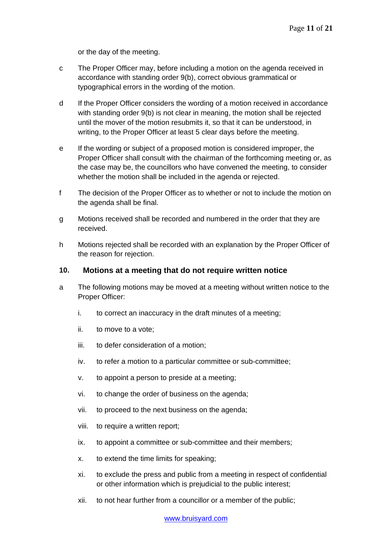or the day of the meeting.

- c The Proper Officer may, before including a motion on the agenda received in accordance with standing order 9(b), correct obvious grammatical or typographical errors in the wording of the motion.
- d If the Proper Officer considers the wording of a motion received in accordance with standing order 9(b) is not clear in meaning, the motion shall be rejected until the mover of the motion resubmits it, so that it can be understood, in writing, to the Proper Officer at least 5 clear days before the meeting.
- e If the wording or subject of a proposed motion is considered improper, the Proper Officer shall consult with the chairman of the forthcoming meeting or, as the case may be, the councillors who have convened the meeting, to consider whether the motion shall be included in the agenda or rejected.
- f The decision of the Proper Officer as to whether or not to include the motion on the agenda shall be final.
- g Motions received shall be recorded and numbered in the order that they are received.
- h Motions rejected shall be recorded with an explanation by the Proper Officer of the reason for rejection.

# **10. Motions at a meeting that do not require written notice**

- a The following motions may be moved at a meeting without written notice to the Proper Officer:
	- i. to correct an inaccuracy in the draft minutes of a meeting;
	- ii. to move to a vote;
	- iii. to defer consideration of a motion;
	- iv. to refer a motion to a particular committee or sub-committee;
	- v. to appoint a person to preside at a meeting;
	- vi. to change the order of business on the agenda;
	- vii. to proceed to the next business on the agenda;
	- viii. to require a written report;
	- ix. to appoint a committee or sub-committee and their members;
	- x. to extend the time limits for speaking;
	- xi. to exclude the press and public from a meeting in respect of confidential or other information which is prejudicial to the public interest;
	- xii. to not hear further from a councillor or a member of the public;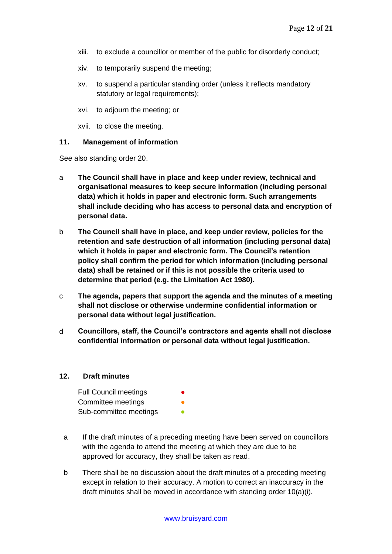- xiii. to exclude a councillor or member of the public for disorderly conduct;
- xiv. to temporarily suspend the meeting;
- xv. to suspend a particular standing order (unless it reflects mandatory statutory or legal requirements);
- xvi. to adjourn the meeting; or
- xvii. to close the meeting.

#### **11. Management of information**

See also standing order 20.

- a **The Council shall have in place and keep under review, technical and organisational measures to keep secure information (including personal data) which it holds in paper and electronic form. Such arrangements shall include deciding who has access to personal data and encryption of personal data.**
- b **The Council shall have in place, and keep under review, policies for the retention and safe destruction of all information (including personal data) which it holds in paper and electronic form. The Council's retention policy shall confirm the period for which information (including personal data) shall be retained or if this is not possible the criteria used to determine that period (e.g. the Limitation Act 1980).**
- c **The agenda, papers that support the agenda and the minutes of a meeting shall not disclose or otherwise undermine confidential information or personal data without legal justification.**
- d **Councillors, staff, the Council's contractors and agents shall not disclose confidential information or personal data without legal justification.**

#### **12. Draft minutes**

| <b>Full Council meetings</b> | $\bullet$ |
|------------------------------|-----------|
| Committee meetings           | o         |
| Sub-committee meetings       |           |

- a If the draft minutes of a preceding meeting have been served on councillors with the agenda to attend the meeting at which they are due to be approved for accuracy, they shall be taken as read.
- b There shall be no discussion about the draft minutes of a preceding meeting except in relation to their accuracy. A motion to correct an inaccuracy in the draft minutes shall be moved in accordance with standing order 10(a)(i).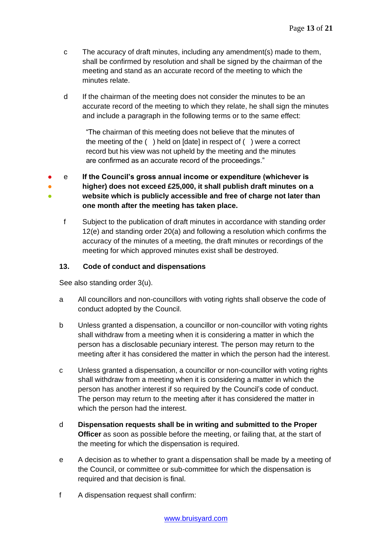- c The accuracy of draft minutes, including any amendment(s) made to them, shall be confirmed by resolution and shall be signed by the chairman of the meeting and stand as an accurate record of the meeting to which the minutes relate.
- d If the chairman of the meeting does not consider the minutes to be an accurate record of the meeting to which they relate, he shall sign the minutes and include a paragraph in the following terms or to the same effect:

"The chairman of this meeting does not believe that the minutes of the meeting of the ( ) held on [date] in respect of ( ) were a correct record but his view was not upheld by the meeting and the minutes are confirmed as an accurate record of the proceedings."

● ● ● e **If the Council's gross annual income or expenditure (whichever is higher) does not exceed £25,000, it shall publish draft minutes on a website which is publicly accessible and free of charge not later than one month after the meeting has taken place.**

f Subject to the publication of draft minutes in accordance with standing order 12(e) and standing order 20(a) and following a resolution which confirms the accuracy of the minutes of a meeting, the draft minutes or recordings of the meeting for which approved minutes exist shall be destroyed.

### **13. Code of conduct and dispensations**

See also standing order 3(u).

- a All councillors and non-councillors with voting rights shall observe the code of conduct adopted by the Council.
- b Unless granted a dispensation, a councillor or non-councillor with voting rights shall withdraw from a meeting when it is considering a matter in which the person has a disclosable pecuniary interest. The person may return to the meeting after it has considered the matter in which the person had the interest.
- c Unless granted a dispensation, a councillor or non-councillor with voting rights shall withdraw from a meeting when it is considering a matter in which the person has another interest if so required by the Council's code of conduct. The person may return to the meeting after it has considered the matter in which the person had the interest.
- d **Dispensation requests shall be in writing and submitted to the Proper Officer** as soon as possible before the meeting, or failing that, at the start of the meeting for which the dispensation is required.
- e A decision as to whether to grant a dispensation shall be made by a meeting of the Council, or committee or sub-committee for which the dispensation is required and that decision is final.
- f A dispensation request shall confirm: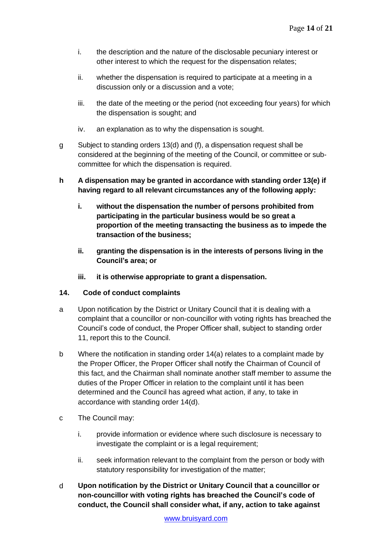- i. the description and the nature of the disclosable pecuniary interest or other interest to which the request for the dispensation relates;
- ii. whether the dispensation is required to participate at a meeting in a discussion only or a discussion and a vote;
- iii. the date of the meeting or the period (not exceeding four years) for which the dispensation is sought; and
- iv. an explanation as to why the dispensation is sought.
- g Subject to standing orders 13(d) and (f), a dispensation request shall be considered at the beginning of the meeting of the Council, or committee or subcommittee for which the dispensation is required.
- **h A dispensation may be granted in accordance with standing order 13(e) if having regard to all relevant circumstances any of the following apply:**
	- **i. without the dispensation the number of persons prohibited from participating in the particular business would be so great a proportion of the meeting transacting the business as to impede the transaction of the business;**
	- **ii. granting the dispensation is in the interests of persons living in the Council's area; or**
	- **iii. it is otherwise appropriate to grant a dispensation.**

# **14. Code of conduct complaints**

- a Upon notification by the District or Unitary Council that it is dealing with a complaint that a councillor or non-councillor with voting rights has breached the Council's code of conduct, the Proper Officer shall, subject to standing order 11, report this to the Council.
- b Where the notification in standing order 14(a) relates to a complaint made by the Proper Officer, the Proper Officer shall notify the Chairman of Council of this fact, and the Chairman shall nominate another staff member to assume the duties of the Proper Officer in relation to the complaint until it has been determined and the Council has agreed what action, if any, to take in accordance with standing order 14(d).
- c The Council may:
	- i. provide information or evidence where such disclosure is necessary to investigate the complaint or is a legal requirement;
	- ii. seek information relevant to the complaint from the person or body with statutory responsibility for investigation of the matter;
- d **Upon notification by the District or Unitary Council that a councillor or non-councillor with voting rights has breached the Council's code of conduct, the Council shall consider what, if any, action to take against**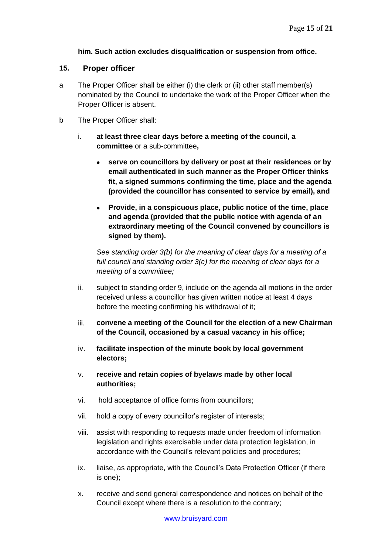### **him. Such action excludes disqualification or suspension from office.**

#### **15. Proper officer**

- a The Proper Officer shall be either (i) the clerk or (ii) other staff member(s) nominated by the Council to undertake the work of the Proper Officer when the Proper Officer is absent.
- b The Proper Officer shall:
	- i. **at least three clear days before a meeting of the council, a committee** or a sub-committee**,**
		- **serve on councillors by delivery or post at their residences or by email authenticated in such manner as the Proper Officer thinks fit, a signed summons confirming the time, place and the agenda (provided the councillor has consented to service by email), and**
		- **Provide, in a conspicuous place, public notice of the time, place and agenda (provided that the public notice with agenda of an extraordinary meeting of the Council convened by councillors is signed by them).**

*See standing order 3(b) for the meaning of clear days for a meeting of a full council and standing order 3(c) for the meaning of clear days for a meeting of a committee;*

- ii. subject to standing order 9, include on the agenda all motions in the order received unless a councillor has given written notice at least 4 days before the meeting confirming his withdrawal of it;
- iii. **convene a meeting of the Council for the election of a new Chairman of the Council, occasioned by a casual vacancy in his office;**
- iv. **facilitate inspection of the minute book by local government electors;**
- v. **receive and retain copies of byelaws made by other local authorities;**
- vi. hold acceptance of office forms from councillors;
- vii. hold a copy of every councillor's register of interests;
- viii. assist with responding to requests made under freedom of information legislation and rights exercisable under data protection legislation, in accordance with the Council's relevant policies and procedures;
- ix. liaise, as appropriate, with the Council's Data Protection Officer (if there is one);
- x. receive and send general correspondence and notices on behalf of the Council except where there is a resolution to the contrary;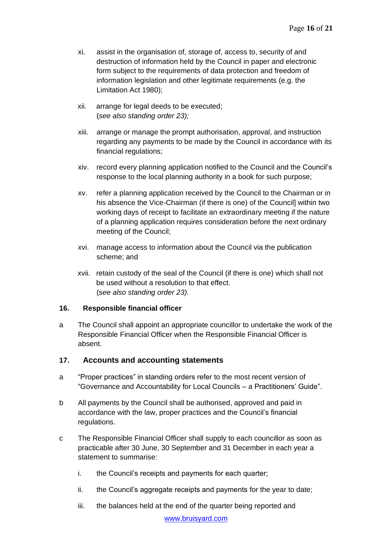- xi. assist in the organisation of, storage of, access to, security of and destruction of information held by the Council in paper and electronic form subject to the requirements of data protection and freedom of information legislation and other legitimate requirements (e.g. the Limitation Act 1980);
- xii. arrange for legal deeds to be executed; (*see also standing order 23);*
- xiii. arrange or manage the prompt authorisation, approval, and instruction regarding any payments to be made by the Council in accordance with its financial regulations;
- xiv. record every planning application notified to the Council and the Council's response to the local planning authority in a book for such purpose;
- xv. refer a planning application received by the Council to the Chairman or in his absence the Vice-Chairman (if there is one) of the Council] within two working days of receipt to facilitate an extraordinary meeting if the nature of a planning application requires consideration before the next ordinary meeting of the Council;
- xvi. manage access to information about the Council via the publication scheme; and
- xvii. retain custody of the seal of the Council (if there is one) which shall not be used without a resolution to that effect. (s*ee also standing order 23).*

#### **16. Responsible financial officer**

a The Council shall appoint an appropriate councillor to undertake the work of the Responsible Financial Officer when the Responsible Financial Officer is absent.

# **17. Accounts and accounting statements**

- a "Proper practices" in standing orders refer to the most recent version of "Governance and Accountability for Local Councils – a Practitioners' Guide".
- b All payments by the Council shall be authorised, approved and paid in accordance with the law, proper practices and the Council's financial regulations.
- c The Responsible Financial Officer shall supply to each councillor as soon as practicable after 30 June, 30 September and 31 December in each year a statement to summarise:
	- i. the Council's receipts and payments for each quarter;
	- ii. the Council's aggregate receipts and payments for the year to date;
	- iii. the balances held at the end of the quarter being reported and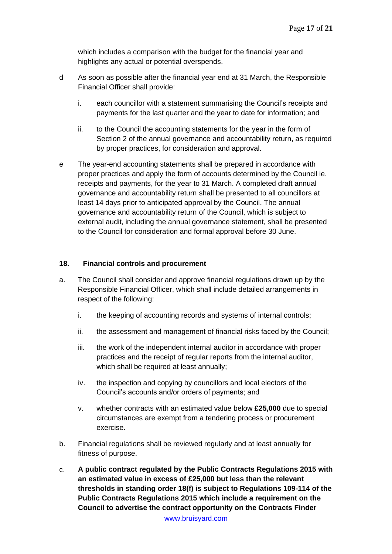which includes a comparison with the budget for the financial year and highlights any actual or potential overspends.

- d As soon as possible after the financial year end at 31 March, the Responsible Financial Officer shall provide:
	- i. each councillor with a statement summarising the Council's receipts and payments for the last quarter and the year to date for information; and
	- ii. to the Council the accounting statements for the year in the form of Section 2 of the annual governance and accountability return, as required by proper practices, for consideration and approval.
- e The year-end accounting statements shall be prepared in accordance with proper practices and apply the form of accounts determined by the Council ie. receipts and payments, for the year to 31 March. A completed draft annual governance and accountability return shall be presented to all councillors at least 14 days prior to anticipated approval by the Council. The annual governance and accountability return of the Council, which is subject to external audit, including the annual governance statement, shall be presented to the Council for consideration and formal approval before 30 June.

### **18. Financial controls and procurement**

- a. The Council shall consider and approve financial regulations drawn up by the Responsible Financial Officer, which shall include detailed arrangements in respect of the following:
	- i. the keeping of accounting records and systems of internal controls;
	- ii. the assessment and management of financial risks faced by the Council;
	- iii. the work of the independent internal auditor in accordance with proper practices and the receipt of regular reports from the internal auditor, which shall be required at least annually;
	- iv. the inspection and copying by councillors and local electors of the Council's accounts and/or orders of payments; and
	- v. whether contracts with an estimated value below **£25,000** due to special circumstances are exempt from a tendering process or procurement exercise.
- b. Financial regulations shall be reviewed regularly and at least annually for fitness of purpose.
- c. **A public contract regulated by the Public Contracts Regulations 2015 with an estimated value in excess of £25,000 but less than the relevant thresholds in standing order 18(f) is subject to Regulations 109-114 of the Public Contracts Regulations 2015 which include a requirement on the Council to advertise the contract opportunity on the Contracts Finder**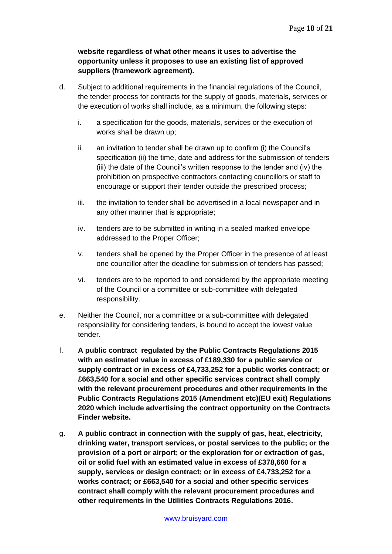# **website regardless of what other means it uses to advertise the opportunity unless it proposes to use an existing list of approved suppliers (framework agreement).**

- d. Subject to additional requirements in the financial regulations of the Council, the tender process for contracts for the supply of goods, materials, services or the execution of works shall include, as a minimum, the following steps:
	- i. a specification for the goods, materials, services or the execution of works shall be drawn up;
	- ii. an invitation to tender shall be drawn up to confirm (i) the Council's specification (ii) the time, date and address for the submission of tenders (iii) the date of the Council's written response to the tender and (iv) the prohibition on prospective contractors contacting councillors or staff to encourage or support their tender outside the prescribed process;
	- iii. the invitation to tender shall be advertised in a local newspaper and in any other manner that is appropriate;
	- iv. tenders are to be submitted in writing in a sealed marked envelope addressed to the Proper Officer;
	- v. tenders shall be opened by the Proper Officer in the presence of at least one councillor after the deadline for submission of tenders has passed;
	- vi. tenders are to be reported to and considered by the appropriate meeting of the Council or a committee or sub-committee with delegated responsibility.
- e. Neither the Council, nor a committee or a sub-committee with delegated responsibility for considering tenders, is bound to accept the lowest value tender.
- f. **A public contract regulated by the Public Contracts Regulations 2015 with an estimated value in excess of £189,330 for a public service or supply contract or in excess of £4,733,252 for a public works contract; or £663,540 for a social and other specific services contract shall comply with the relevant procurement procedures and other requirements in the Public Contracts Regulations 2015 (Amendment etc)(EU exit) Regulations 2020 which include advertising the contract opportunity on the Contracts Finder website.**
- g. **A public contract in connection with the supply of gas, heat, electricity, drinking water, transport services, or postal services to the public; or the provision of a port or airport; or the exploration for or extraction of gas, oil or solid fuel with an estimated value in excess of £378,660 for a supply, services or design contract; or in excess of £4,733,252 for a works contract; or £663,540 for a social and other specific services contract shall comply with the relevant procurement procedures and other requirements in the Utilities Contracts Regulations 2016.**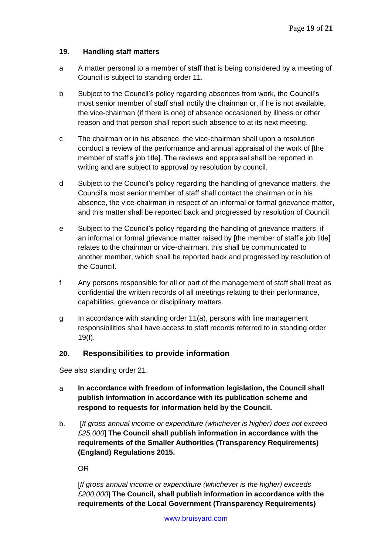# **19. Handling staff matters**

- a A matter personal to a member of staff that is being considered by a meeting of Council is subject to standing order 11.
- b Subject to the Council's policy regarding absences from work, the Council's most senior member of staff shall notify the chairman or, if he is not available, the vice-chairman (if there is one) of absence occasioned by illness or other reason and that person shall report such absence to at its next meeting.
- c The chairman or in his absence, the vice-chairman shall upon a resolution conduct a review of the performance and annual appraisal of the work of [the member of staff's job title]. The reviews and appraisal shall be reported in writing and are subject to approval by resolution by council.
- d Subject to the Council's policy regarding the handling of grievance matters, the Council's most senior member of staff shall contact the chairman or in his absence, the vice-chairman in respect of an informal or formal grievance matter, and this matter shall be reported back and progressed by resolution of Council.
- e Subject to the Council's policy regarding the handling of grievance matters, if an informal or formal grievance matter raised by [the member of staff's job title] relates to the chairman or vice-chairman, this shall be communicated to another member, which shall be reported back and progressed by resolution of the Council.
- f Any persons responsible for all or part of the management of staff shall treat as confidential the written records of all meetings relating to their performance, capabilities, grievance or disciplinary matters.
- g In accordance with standing order 11(a), persons with line management responsibilities shall have access to staff records referred to in standing order 19(f).

# **20. Responsibilities to provide information**

See also standing order 21.

- a **In accordance with freedom of information legislation, the Council shall publish information in accordance with its publication scheme and respond to requests for information held by the Council.**
- b. [*If gross annual income or expenditure (whichever is higher) does not exceed £25,000*] **The Council shall publish information in accordance with the requirements of the Smaller Authorities (Transparency Requirements) (England) Regulations 2015.**

OR

[*If gross annual income or expenditure (whichever is the higher) exceeds £200,000*] **The Council, shall publish information in accordance with the requirements of the Local Government (Transparency Requirements)**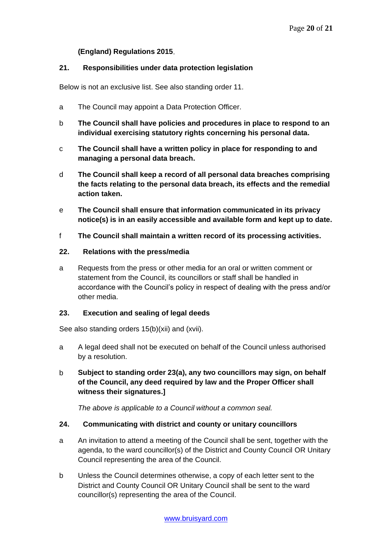### **(England) Regulations 2015**.

#### **21. Responsibilities under data protection legislation**

Below is not an exclusive list. See also standing order 11.

- a The Council may appoint a Data Protection Officer.
- b **The Council shall have policies and procedures in place to respond to an individual exercising statutory rights concerning his personal data.**
- c **The Council shall have a written policy in place for responding to and managing a personal data breach.**
- d **The Council shall keep a record of all personal data breaches comprising the facts relating to the personal data breach, its effects and the remedial action taken.**
- e **The Council shall ensure that information communicated in its privacy notice(s) is in an easily accessible and available form and kept up to date.**
- f **The Council shall maintain a written record of its processing activities.**

#### **22. Relations with the press/media**

a Requests from the press or other media for an oral or written comment or statement from the Council, its councillors or staff shall be handled in accordance with the Council's policy in respect of dealing with the press and/or other media.

#### **23. Execution and sealing of legal deeds**

See also standing orders 15(b)(xii) and (xvii).

- a A legal deed shall not be executed on behalf of the Council unless authorised by a resolution.
- b **Subject to standing order 23(a), any two councillors may sign, on behalf of the Council, any deed required by law and the Proper Officer shall witness their signatures.]**

*The above is applicable to a Council without a common seal.*

# **24. Communicating with district and county or unitary councillors**

- a An invitation to attend a meeting of the Council shall be sent, together with the agenda, to the ward councillor(s) of the District and County Council OR Unitary Council representing the area of the Council.
- b Unless the Council determines otherwise, a copy of each letter sent to the District and County Council OR Unitary Council shall be sent to the ward councillor(s) representing the area of the Council.